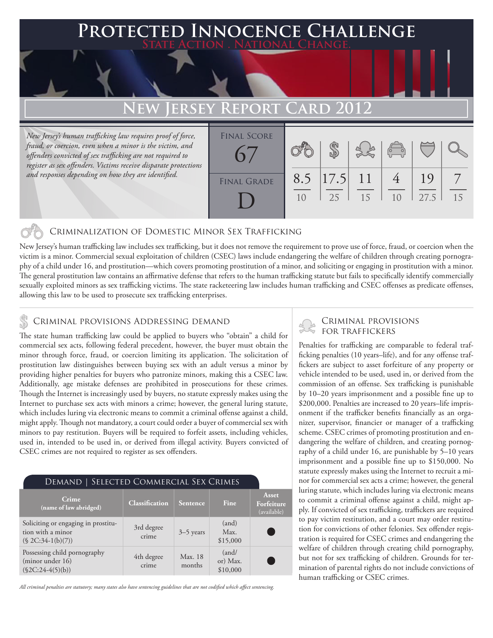### **FED INNOCENCE CHALLENGE State Action . National Change. New Jersey Report Card 2012** *New Jersey's human trafficking law requires proof of force, fraud, or coercion, even when a minor is the victim, and offenders convicted of sex trafficking are not required to register as sex offenders. Victims receive disparate protections and responses depending on how they are identified.* 8.5 \$ 17.5 11 4 19 7 Final Score FINAL GRADE 67

10

25

### Criminalization of Domestic Minor Sex Trafficking

New Jersey's human trafficking law includes sex trafficking, but it does not remove the requirement to prove use of force, fraud, or coercion when the victim is a minor. Commercial sexual exploitation of children (CSEC) laws include endangering the welfare of children through creating pornography of a child under 16, and prostitution—which covers promoting prostitution of a minor, and soliciting or engaging in prostitution with a minor. The general prostitution law contains an affirmative defense that refers to the human trafficking statute but fails to specifically identify commercially sexually exploited minors as sex trafficking victims. The state racketeering law includes human trafficking and CSEC offenses as predicate offenses, allowing this law to be used to prosecute sex trafficking enterprises.

D

## CRIMINAL PROVISIONS ADDRESSING DEMAND

The state human trafficking law could be applied to buyers who "obtain" a child for commercial sex acts, following federal precedent, however, the buyer must obtain the minor through force, fraud, or coercion limiting its application. The solicitation of prostitution law distinguishes between buying sex with an adult versus a minor by providing higher penalties for buyers who patronize minors, making this a CSEC law. Additionally, age mistake defenses are prohibited in prosecutions for these crimes. Though the Internet is increasingly used by buyers, no statute expressly makes using the Internet to purchase sex acts with minors a crime; however, the general luring statute, which includes luring via electronic means to commit a criminal offense against a child, might apply. Though not mandatory, a court could order a buyer of commercial sex with minors to pay restitution. Buyers will be required to forfeit assets, including vehicles, used in, intended to be used in, or derived from illegal activity. Buyers convicted of CSEC crimes are not required to register as sex offenders.

| DEMAND   SELECTED COMMERCIAL SEX CRIMES                                        |                       |                   |                               |                                    |
|--------------------------------------------------------------------------------|-----------------------|-------------------|-------------------------------|------------------------------------|
| <b>Crime</b><br>(name of law abridged)                                         | <b>Classification</b> | <b>Sentence</b>   | <b>Fine</b>                   | Asset<br>Forfeiture<br>(available) |
| Soliciting or engaging in prostitu-<br>tion with a minor<br>$($2C:34-1(b)(7))$ | 3rd degree<br>crime   | $3 - 5$ years     | (and)<br>Max.<br>\$15,000     |                                    |
| Possessing child pornography<br>(minor under 16)<br>$(2C:24-4(5)(b))$          | 4th degree<br>crime   | Max. 18<br>months | (and/<br>or) Max.<br>\$10,000 |                                    |

*All criminal penalties are statutory; many states also have sentencing guidelines that are not codified which affect sentencing.* 

# Criminal provisions

15

 $1<sub>0</sub>$ 

27.5

15

Penalties for trafficking are comparable to federal trafficking penalties (10 years–life), and for any offense traffickers are subject to asset forfeiture of any property or vehicle intended to be used, used in, or derived from the commission of an offense. Sex trafficking is punishable by 10–20 years imprisonment and a possible fine up to \$200,000. Penalties are increased to 20 years–life imprisonment if the trafficker benefits financially as an organizer, supervisor, financier or manager of a trafficking scheme. CSEC crimes of promoting prostitution and endangering the welfare of children, and creating pornography of a child under 16, are punishable by 5–10 years imprisonment and a possible fine up to \$150,000. No statute expressly makes using the Internet to recruit a minor for commercial sex acts a crime; however, the general luring statute, which includes luring via electronic means to commit a criminal offense against a child, might apply. If convicted of sex trafficking, traffickers are required to pay victim restitution, and a court may order restitution for convictions of other felonies. Sex offender registration is required for CSEC crimes and endangering the welfare of children through creating child pornography, but not for sex trafficking of children. Grounds for termination of parental rights do not include convictions of human trafficking or CSEC crimes.